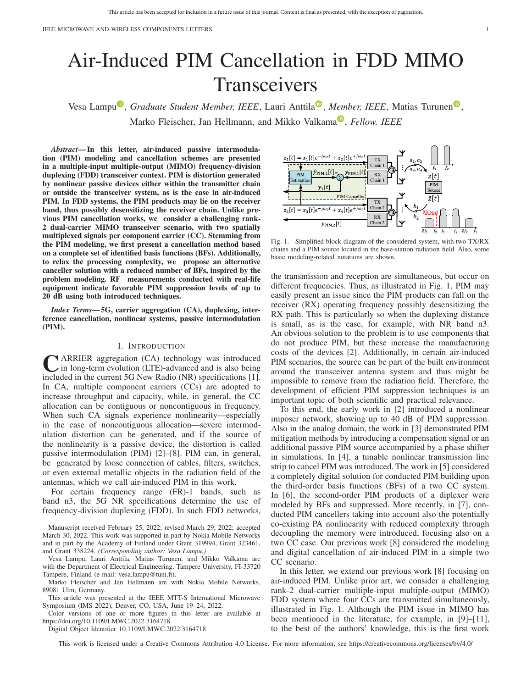# Air-Induced PIM Cancellation in FDD MIMO Transceivers

Vesa Lamp[u](https://orcid.org/0000-0002-0908-9094)<sup>®</sup>, *Graduate Student Member, IEEE*, Lauri Anttila<sup>®</sup>, *Member, IEEE*, Matias Turunen<sup>®</sup>, M[a](https://orcid.org/0000-0003-0361-0800)rko Fleischer, Jan Hellmann, and Mikko Valkama<sup>®</sup>, *Fellow, IEEE* 

*Abstract***— In this letter, air-induced passive intermodulation (PIM) modeling and cancellation schemes are presented in a multiple-input multiple-output (MIMO) frequency-division duplexing (FDD) transceiver context. PIM is distortion generated by nonlinear passive devices either within the transmitter chain or outside the transceiver system, as is the case in air-induced PIM. In FDD systems, the PIM products may lie on the receiver band, thus possibly desensitizing the receiver chain. Unlike previous PIM cancellation works, we consider a challenging rank-2 dual-carrier MIMO transceiver scenario, with two spatially multiplexed signals per component carrier (CC). Stemming from the PIM modeling, we first present a cancellation method based on a complete set of identified basis functions (BFs). Additionally, to relax the processing complexity, we propose an alternative canceller solution with a reduced number of BFs, inspired by the problem modeling. RF measurements conducted with real-life equipment indicate favorable PIM suppression levels of up to 20 dB using both introduced techniques.**

*Index Terms***— 5G, carrier aggregation (CA), duplexing, interference cancellation, nonlinear systems, passive intermodulation (PIM).**

### I. INTRODUCTION

**C**ARRIER aggregation (CA) technology was introduced<br>in long-term evolution (LTE)-advanced and is also being<br>included in the summat 5C Naw Bodie (NB) enceifications [1] included in the current 5G New Radio (NR) specifications [1]. In CA, multiple component carriers (CCs) are adopted to increase throughput and capacity, while, in general, the CC allocation can be contiguous or noncontiguous in frequency. When such CA signals experience nonlinearity—especially in the case of noncontiguous allocation—severe intermodulation distortion can be generated, and if the source of the nonlinearity is a passive device, the distortion is called passive intermodulation (PIM) [2]–[8]. PIM can, in general, be generated by loose connection of cables, filters, switches, or even external metallic objects in the radiation field of the antennas, which we call air-induced PIM in this work.

For certain frequency range (FR)-1 bands, such as band n3, the 5G NR specifications determine the use of frequency-division duplexing (FDD). In such FDD networks,

Manuscript received February 25, 2022; revised March 29, 2022; accepted March 30, 2022. This work was supported in part by Nokia Mobile Networks and in part by the Academy of Finland under Grant 319994, Grant 323461, and Grant 338224. *(Corresponding author: Vesa Lampu.)*

Vesa Lampu, Lauri Anttila, Matias Turunen, and Mikko Valkama are with the Department of Electrical Engineering, Tampere University, FI-33720 Tampere, Finland (e-mail: vesa.lampu@tuni.fi).

Marko Fleischer and Jan Hellmann are with Nokia Mobile Networks, 89081 Ulm, Germany.

This article was presented at the IEEE MTT-S International Microwave Symposium (IMS 2022), Denver, CO, USA, June 19–24, 2022.

Color versions of one or more figures in this letter are available at https://doi.org/10.1109/LMWC.2022.3164718.

Digital Object Identifier 10.1109/LMWC.2022.3164718

 $z_1[t] = x_1[t]e^{-j\omega_0 t} + x_2[t]e^{+j\omega_0 t}$ PIM PIM  $y_1[t]$ PIM Canceller  $\tilde{z}[t]$ Chain 2  $z_2[t] = x_3[t]e^{-t}$  $RX$  $y_{\text{PIM},2}[t]$ Chain

Fig. 1. Simplified block diagram of the considered system, with two TX/RX chains and a PIM source located in the base-station radiation field. Also, some basic modeling-related notations are shown.

the transmission and reception are simultaneous, but occur on different frequencies. Thus, as illustrated in Fig. 1, PIM may easily present an issue since the PIM products can fall on the receiver (RX) operating frequency possibly desensitizing the RX path. This is particularly so when the duplexing distance is small, as is the case, for example, with NR band n3. An obvious solution to the problem is to use components that do not produce PIM, but these increase the manufacturing costs of the devices [2]. Additionally, in certain air-induced PIM scenarios, the source can be part of the built environment around the transceiver antenna system and thus might be impossible to remove from the radiation field. Therefore, the development of efficient PIM suppression techniques is an important topic of both scientific and practical relevance.

To this end, the early work in [2] introduced a nonlinear imposer network, showing up to 40 dB of PIM suppression. Also in the analog domain, the work in [3] demonstrated PIM mitigation methods by introducing a compensation signal or an additional passive PIM source accompanied by a phase shifter in simulations. In [4], a tunable nonlinear transmission line strip to cancel PIM was introduced. The work in [5] considered a completely digital solution for conducted PIM building upon the third-order basis functions (BFs) of a two CC system. In [6], the second-order PIM products of a diplexer were modeled by BFs and suppressed. More recently, in [7], conducted PIM cancellers taking into account also the potentially co-existing PA nonlinearity with reduced complexity through decoupling the memory were introduced, focusing also on a two CC case. Our previous work [8] considered the modeling and digital cancellation of air-induced PIM in a simple two CC scenario.

In this letter, we extend our previous work [8] focusing on air-induced PIM. Unlike prior art, we consider a challenging rank-2 dual-carrier multiple-input multiple-output (MIMO) FDD system where four CCs are transmitted simultaneously, illustrated in Fig. 1. Although the PIM issue in MIMO has been mentioned in the literature, for example, in [9]–[11], to the best of the authors' knowledge, this is the first work

This work is licensed under a Creative Commons Attribution 4.0 License. For more information, see https://creativecommons.org/licenses/by/4.0/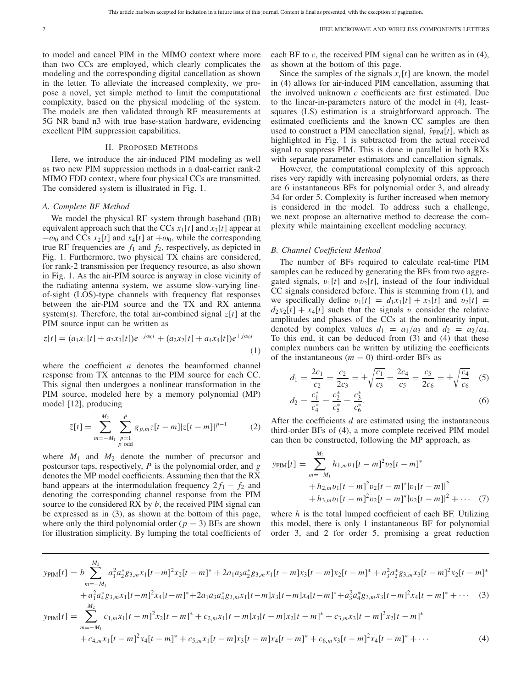to model and cancel PIM in the MIMO context where more than two CCs are employed, which clearly complicates the modeling and the corresponding digital cancellation as shown in the letter. To alleviate the increased complexity, we propose a novel, yet simple method to limit the computational complexity, based on the physical modeling of the system. The models are then validated through RF measurements at 5G NR band n3 with true base-station hardware, evidencing excellent PIM suppression capabilities.

## II. PROPOSED METHODS

Here, we introduce the air-induced PIM modeling as well as two new PIM suppression methods in a dual-carrier rank-2 MIMO FDD context, where four physical CCs are transmitted. The considered system is illustrated in Fig. 1.

#### *A. Complete BF Method*

We model the physical RF system through baseband (BB) equivalent approach such that the CCs  $x_1[t]$  and  $x_3[t]$  appear at  $-\omega_0$  and CCs  $x_2[t]$  and  $x_4[t]$  at  $+\omega_0$ , while the corresponding true RF frequencies are  $f_1$  and  $f_2$ , respectively, as depicted in Fig. 1. Furthermore, two physical TX chains are considered, for rank-2 transmission per frequency resource, as also shown in Fig. 1. As the air-PIM source is anyway in close vicinity of the radiating antenna system, we assume slow-varying lineof-sight (LOS)-type channels with frequency flat responses between the air-PIM source and the TX and RX antenna system(s). Therefore, the total air-combined signal *z*[*t*] at the PIM source input can be written as

$$
z[t] = (a_1x_1[t] + a_3x_3[t])e^{-j\omega_0 t} + (a_2x_2[t] + a_4x_4[t])e^{+j\omega_0 t}
$$
\n(1)

where the coefficient *a* denotes the beamformed channel response from TX antennas to the PIM source for each CC. This signal then undergoes a nonlinear transformation in the PIM source, modeled here by a memory polynomial (MP) model [12], producing

$$
\tilde{z}[t] = \sum_{m=-M_1}^{M_2} \sum_{\substack{p=1 \ p \text{ odd}}}^{P} g_{p,m} z[t-m] |z[t-m]|^{p-1}
$$
 (2)

where  $M_1$  and  $M_2$  denote the number of precursor and postcursor taps, respectively, *P* is the polynomial order, and *g* denotes the MP model coefficients. Assuming then that the RX band appears at the intermodulation frequency  $2f_1 - f_2$  and denoting the corresponding channel response from the PIM source to the considered RX by *b*, the received PIM signal can be expressed as in (3), as shown at the bottom of this page, where only the third polynomial order  $(p = 3)$  BFs are shown for illustration simplicity. By lumping the total coefficients of each BF to *c*, the received PIM signal can be written as in (4), as shown at the bottom of this page.

Since the samples of the signals  $x_i[t]$  are known, the model in (4) allows for air-induced PIM cancellation, assuming that the involved unknown *c* coefficients are first estimated. Due to the linear-in-parameters nature of the model in (4), leastsquares (LS) estimation is a straightforward approach. The estimated coefficients and the known CC samples are then used to construct a PIM cancellation signal,  $\hat{y}_{\text{PIM}}[t]$ , which as highlighted in Fig. 1 is subtracted from the actual received signal to suppress PIM. This is done in parallel in both RXs with separate parameter estimators and cancellation signals.

However, the computational complexity of this approach rises very rapidly with increasing polynomial orders, as there are 6 instantaneous BFs for polynomial order 3, and already 34 for order 5. Complexity is further increased when memory is considered in the model. To address such a challenge, we next propose an alternative method to decrease the complexity while maintaining excellent modeling accuracy.

#### *B. Channel Coefficient Method*

The number of BFs required to calculate real-time PIM samples can be reduced by generating the BFs from two aggregated signals,  $v_1[t]$  and  $v_2[t]$ , instead of the four individual CC signals considered before. This is stemming from (1), and we specifically define  $v_1[t] = d_1x_1[t] + x_3[t]$  and  $v_2[t] =$  $d_2x_2[t] + x_4[t]$  such that the signals v consider the relative amplitudes and phases of the CCs at the nonlinearity input, denoted by complex values  $d_1 = a_1/a_3$  and  $d_2 = a_2/a_4$ . To this end, it can be deduced from (3) and (4) that these complex numbers can be written by utilizing the coefficients of the instantaneous  $(m = 0)$  third-order BFs as

$$
d_1 = \frac{2c_1}{c_2} = \frac{c_2}{2c_3} = \pm \sqrt{\frac{c_1}{c_3}} = \frac{2c_4}{c_5} = \frac{c_5}{2c_6} = \pm \sqrt{\frac{c_4}{c_6}} \quad (5)
$$

$$
d_2 = \frac{c_1^*}{c_4^*} = \frac{c_2^*}{c_5^*} = \frac{c_3^*}{c_6^*}.
$$
 (6)

After the coefficients *d* are estimated using the instantaneous third-order BFs of (4), a more complete received PIM model can then be constructed, following the MP approach, as

$$
y_{\text{PIM}}[t] = \sum_{m=-M_1}^{M_2} h_{1,m} v_1[t-m]^2 v_2[t-m]^*
$$
  
+  $h_{2,m} v_1[t-m]^2 v_2[t-m]^* |v_1[t-m]|^2$   
+  $h_{3,m} v_1[t-m]^2 v_2[t-m]^* |v_2[t-m]|^2 + \cdots$  (7)

where *h* is the total lumped coefficient of each BF. Utilizing this model, there is only 1 instantaneous BF for polynomial order 3, and 2 for order 5, promising a great reduction

$$
y_{\text{PIM}}[t] = b \sum_{m=-M_1}^{M_2} a_1^2 a_2^* g_{3,m} x_1 [t-m]^2 x_2 [t-m]^* + 2 a_1 a_3 a_2^* g_{3,m} x_1 [t-m] x_3 [t-m] x_2 [t-m]^* + a_3^2 a_2^* g_{3,m} x_3 [t-m]^2 x_2 [t-m]^* + a_1^2 a_4^* g_{3,m} x_1 [t-m]^2 x_4 [t-m]^* + 2 a_1 a_3 a_4^* g_{3,m} x_1 [t-m] x_3 [t-m] x_4 [t-m]^* + a_3^2 a_4^* g_{3,m} x_3 [t-m]^2 x_4 [t-m]^* + \cdots \tag{3}
$$
  
\n
$$
y_{\text{PIM}}[t] = \sum_{m=-M_1}^{M_2} c_{1,m} x_1 [t-m]^2 x_2 [t-m]^* + c_{2,m} x_1 [t-m] x_3 [t-m] x_2 [t-m]^* + c_{3,m} x_3 [t-m]^2 x_4 [t-m]^* + c_{4,m} x_1 [t-m]^2 x_4 [t-m]^* + c_{5,m} x_1 [t-m] x_3 [t-m] x_4 [t-m]^* + c_{6,m} x_3 [t-m]^2 x_4 [t-m]^* + \cdots \tag{4}
$$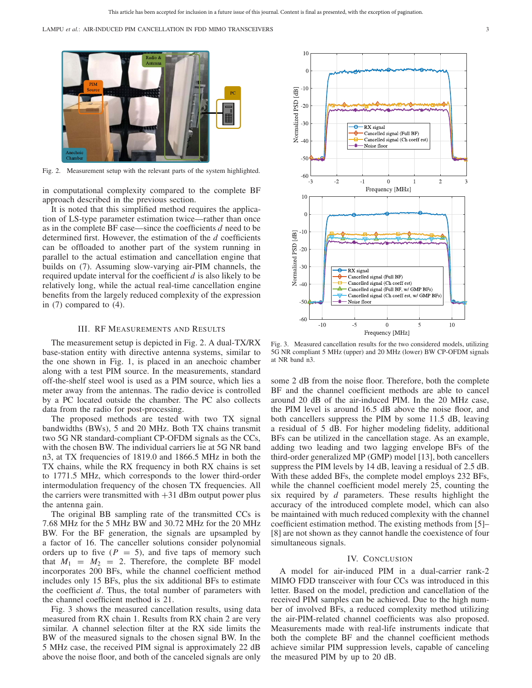LAMPU *et al.*: AIR-INDUCED PIM CANCELLATION IN FDD MIMO TRANSCEIVERS 3



Fig. 2. Measurement setup with the relevant parts of the system highlighted.

in computational complexity compared to the complete BF approach described in the previous section.

It is noted that this simplified method requires the application of LS-type parameter estimation twice—rather than once as in the complete BF case—since the coefficients *d* need to be determined first. However, the estimation of the *d* coefficients can be offloaded to another part of the system running in parallel to the actual estimation and cancellation engine that builds on (7). Assuming slow-varying air-PIM channels, the required update interval for the coefficient *d* is also likely to be relatively long, while the actual real-time cancellation engine benefits from the largely reduced complexity of the expression in (7) compared to (4).

## III. RF MEASUREMENTS AND RESULTS

The measurement setup is depicted in Fig. 2. A dual-TX/RX base-station entity with directive antenna systems, similar to the one shown in Fig. 1, is placed in an anechoic chamber along with a test PIM source. In the measurements, standard off-the-shelf steel wool is used as a PIM source, which lies a meter away from the antennas. The radio device is controlled by a PC located outside the chamber. The PC also collects data from the radio for post-processing.

The proposed methods are tested with two TX signal bandwidths (BWs), 5 and 20 MHz. Both TX chains transmit two 5G NR standard-compliant CP-OFDM signals as the CCs, with the chosen BW. The individual carriers lie at 5G NR band n3, at TX frequencies of 1819.0 and 1866.5 MHz in both the TX chains, while the RX frequency in both RX chains is set to 1771.5 MHz, which corresponds to the lower third-order intermodulation frequency of the chosen TX frequencies. All the carriers were transmitted with  $+31$  dBm output power plus the antenna gain.

The original BB sampling rate of the transmitted CCs is 7.68 MHz for the 5 MHz BW and 30.72 MHz for the 20 MHz BW. For the BF generation, the signals are upsampled by a factor of 16. The canceller solutions consider polynomial orders up to five  $(P = 5)$ , and five taps of memory such that  $M_1 = M_2 = 2$ . Therefore, the complete BF model incorporates 200 BFs, while the channel coefficient method includes only 15 BFs, plus the six additional BFs to estimate the coefficient *d*. Thus, the total number of parameters with the channel coefficient method is 21.

Fig. 3 shows the measured cancellation results, using data measured from RX chain 1. Results from RX chain 2 are very similar. A channel selection filter at the RX side limits the BW of the measured signals to the chosen signal BW. In the 5 MHz case, the received PIM signal is approximately 22 dB above the noise floor, and both of the canceled signals are only



Fig. 3. Measured cancellation results for the two considered models, utilizing 5G NR compliant 5 MHz (upper) and 20 MHz (lower) BW CP-OFDM signals at NR band n3.

some 2 dB from the noise floor. Therefore, both the complete BF and the channel coefficient methods are able to cancel around 20 dB of the air-induced PIM. In the 20 MHz case, the PIM level is around 16.5 dB above the noise floor, and both cancellers suppress the PIM by some 11.5 dB, leaving a residual of 5 dB. For higher modeling fidelity, additional BFs can be utilized in the cancellation stage. As an example, adding two leading and two lagging envelope BFs of the third-order generalized MP (GMP) model [13], both cancellers suppress the PIM levels by 14 dB, leaving a residual of 2.5 dB. With these added BFs, the complete model employs 232 BFs, while the channel coefficient model merely 25, counting the six required by *d* parameters. These results highlight the accuracy of the introduced complete model, which can also be maintained with much reduced complexity with the channel coefficient estimation method. The existing methods from [5]– [8] are not shown as they cannot handle the coexistence of four simultaneous signals.

## IV. CONCLUSION

A model for air-induced PIM in a dual-carrier rank-2 MIMO FDD transceiver with four CCs was introduced in this letter. Based on the model, prediction and cancellation of the received PIM samples can be achieved. Due to the high number of involved BFs, a reduced complexity method utilizing the air-PIM-related channel coefficients was also proposed. Measurements made with real-life instruments indicate that both the complete BF and the channel coefficient methods achieve similar PIM suppression levels, capable of canceling the measured PIM by up to 20 dB.